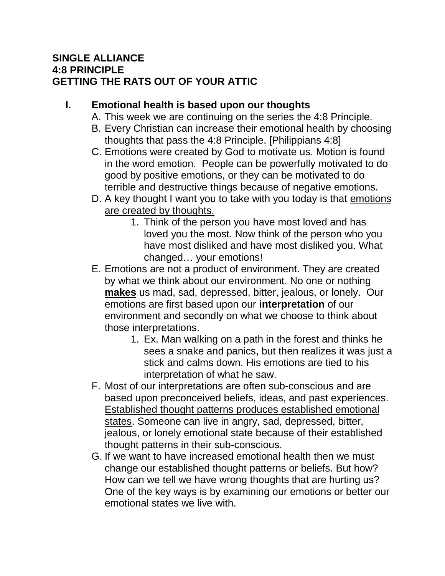## **SINGLE ALLIANCE 4:8 PRINCIPLE GETTING THE RATS OUT OF YOUR ATTIC**

## **I. Emotional health is based upon our thoughts**

- A. This week we are continuing on the series the 4:8 Principle.
- B. Every Christian can increase their emotional health by choosing thoughts that pass the 4:8 Principle. [Philippians 4:8]
- C. Emotions were created by God to motivate us. Motion is found in the word emotion. People can be powerfully motivated to do good by positive emotions, or they can be motivated to do terrible and destructive things because of negative emotions.
- D. A key thought I want you to take with you today is that emotions are created by thoughts.
	- 1. Think of the person you have most loved and has loved you the most. Now think of the person who you have most disliked and have most disliked you. What changed… your emotions!
- E. Emotions are not a product of environment. They are created by what we think about our environment. No one or nothing **makes** us mad, sad, depressed, bitter, jealous, or lonely. Our emotions are first based upon our **interpretation** of our environment and secondly on what we choose to think about those interpretations.
	- 1. Ex. Man walking on a path in the forest and thinks he sees a snake and panics, but then realizes it was just a stick and calms down. His emotions are tied to his interpretation of what he saw.
- F. Most of our interpretations are often sub-conscious and are based upon preconceived beliefs, ideas, and past experiences. Established thought patterns produces established emotional states. Someone can live in angry, sad, depressed, bitter, jealous, or lonely emotional state because of their established thought patterns in their sub-conscious.
- G. If we want to have increased emotional health then we must change our established thought patterns or beliefs. But how? How can we tell we have wrong thoughts that are hurting us? One of the key ways is by examining our emotions or better our emotional states we live with.